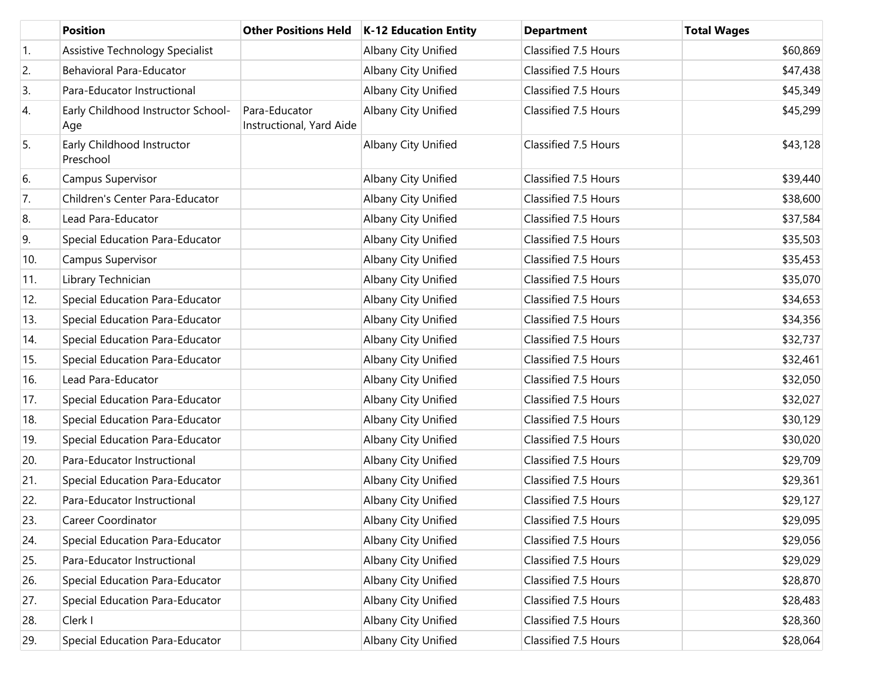|     | <b>Position</b>                           | <b>Other Positions Held</b>               | <b>K-12 Education Entity</b> | <b>Department</b>    | <b>Total Wages</b> |
|-----|-------------------------------------------|-------------------------------------------|------------------------------|----------------------|--------------------|
| 1.  | Assistive Technology Specialist           |                                           | Albany City Unified          | Classified 7.5 Hours | \$60,869           |
| 2.  | Behavioral Para-Educator                  |                                           | Albany City Unified          | Classified 7.5 Hours | \$47,438           |
| 3.  | Para-Educator Instructional               |                                           | Albany City Unified          | Classified 7.5 Hours | \$45,349           |
| 4.  | Early Childhood Instructor School-<br>Age | Para-Educator<br>Instructional, Yard Aide | Albany City Unified          | Classified 7.5 Hours | \$45,299           |
| 5.  | Early Childhood Instructor<br>Preschool   |                                           | Albany City Unified          | Classified 7.5 Hours | \$43,128           |
| 6.  | Campus Supervisor                         |                                           | Albany City Unified          | Classified 7.5 Hours | \$39,440           |
| 7.  | Children's Center Para-Educator           |                                           | Albany City Unified          | Classified 7.5 Hours | \$38,600           |
| 8.  | Lead Para-Educator                        |                                           | Albany City Unified          | Classified 7.5 Hours | \$37,584           |
| 9.  | Special Education Para-Educator           |                                           | Albany City Unified          | Classified 7.5 Hours | \$35,503           |
| 10. | Campus Supervisor                         |                                           | Albany City Unified          | Classified 7.5 Hours | \$35,453           |
| 11. | Library Technician                        |                                           | Albany City Unified          | Classified 7.5 Hours | \$35,070           |
| 12. | Special Education Para-Educator           |                                           | Albany City Unified          | Classified 7.5 Hours | \$34,653           |
| 13. | Special Education Para-Educator           |                                           | Albany City Unified          | Classified 7.5 Hours | \$34,356           |
| 14. | Special Education Para-Educator           |                                           | Albany City Unified          | Classified 7.5 Hours | \$32,737           |
| 15. | Special Education Para-Educator           |                                           | Albany City Unified          | Classified 7.5 Hours | \$32,461           |
| 16. | Lead Para-Educator                        |                                           | Albany City Unified          | Classified 7.5 Hours | \$32,050           |
| 17. | Special Education Para-Educator           |                                           | Albany City Unified          | Classified 7.5 Hours | \$32,027           |
| 18. | Special Education Para-Educator           |                                           | Albany City Unified          | Classified 7.5 Hours | \$30,129           |
| 19. | Special Education Para-Educator           |                                           | Albany City Unified          | Classified 7.5 Hours | \$30,020           |
| 20. | Para-Educator Instructional               |                                           | Albany City Unified          | Classified 7.5 Hours | \$29,709           |
| 21. | Special Education Para-Educator           |                                           | Albany City Unified          | Classified 7.5 Hours | \$29,361           |
| 22. | Para-Educator Instructional               |                                           | Albany City Unified          | Classified 7.5 Hours | \$29,127           |
| 23. | Career Coordinator                        |                                           | Albany City Unified          | Classified 7.5 Hours | \$29,095           |
| 24. | Special Education Para-Educator           |                                           | <b>Albany City Unified</b>   | Classified 7.5 Hours | \$29,056           |
| 25. | Para-Educator Instructional               |                                           | Albany City Unified          | Classified 7.5 Hours | \$29,029           |
| 26. | Special Education Para-Educator           |                                           | Albany City Unified          | Classified 7.5 Hours | \$28,870           |
| 27. | Special Education Para-Educator           |                                           | Albany City Unified          | Classified 7.5 Hours | \$28,483           |
| 28. | Clerk I                                   |                                           | Albany City Unified          | Classified 7.5 Hours | \$28,360           |
| 29. | Special Education Para-Educator           |                                           | Albany City Unified          | Classified 7.5 Hours | \$28,064           |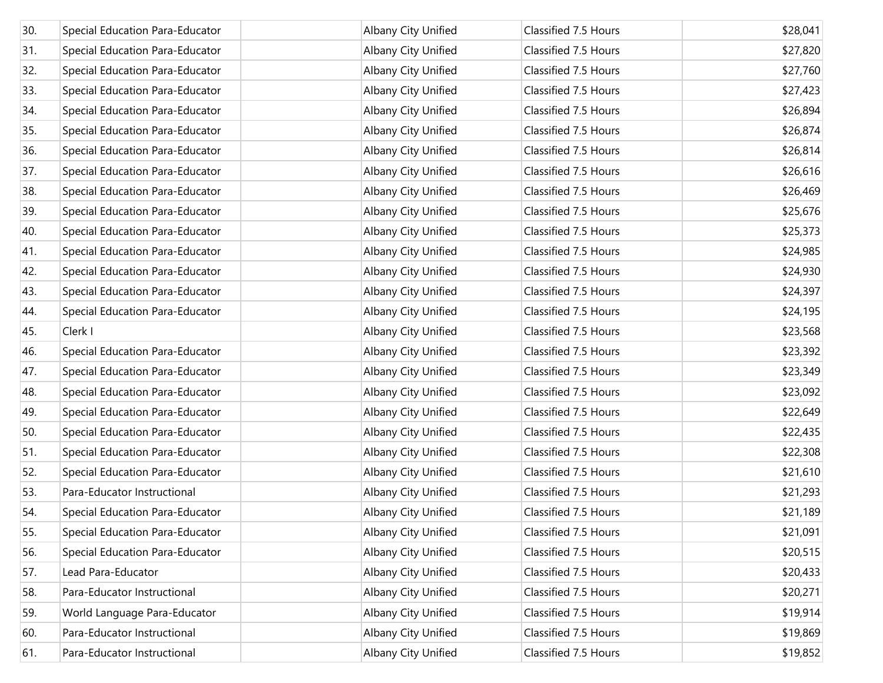| 30. | Special Education Para-Educator | Albany City Unified | Classified 7.5 Hours | \$28,041 |
|-----|---------------------------------|---------------------|----------------------|----------|
| 31. | Special Education Para-Educator | Albany City Unified | Classified 7.5 Hours | \$27,820 |
| 32. | Special Education Para-Educator | Albany City Unified | Classified 7.5 Hours | \$27,760 |
| 33. | Special Education Para-Educator | Albany City Unified | Classified 7.5 Hours | \$27,423 |
| 34. | Special Education Para-Educator | Albany City Unified | Classified 7.5 Hours | \$26,894 |
| 35. | Special Education Para-Educator | Albany City Unified | Classified 7.5 Hours | \$26,874 |
| 36. | Special Education Para-Educator | Albany City Unified | Classified 7.5 Hours | \$26,814 |
| 37. | Special Education Para-Educator | Albany City Unified | Classified 7.5 Hours | \$26,616 |
| 38. | Special Education Para-Educator | Albany City Unified | Classified 7.5 Hours | \$26,469 |
| 39. | Special Education Para-Educator | Albany City Unified | Classified 7.5 Hours | \$25,676 |
| 40. | Special Education Para-Educator | Albany City Unified | Classified 7.5 Hours | \$25,373 |
| 41. | Special Education Para-Educator | Albany City Unified | Classified 7.5 Hours | \$24,985 |
| 42. | Special Education Para-Educator | Albany City Unified | Classified 7.5 Hours | \$24,930 |
| 43. | Special Education Para-Educator | Albany City Unified | Classified 7.5 Hours | \$24,397 |
| 44. | Special Education Para-Educator | Albany City Unified | Classified 7.5 Hours | \$24,195 |
| 45. | Clerk I                         | Albany City Unified | Classified 7.5 Hours | \$23,568 |
| 46. | Special Education Para-Educator | Albany City Unified | Classified 7.5 Hours | \$23,392 |
| 47. | Special Education Para-Educator | Albany City Unified | Classified 7.5 Hours | \$23,349 |
| 48. | Special Education Para-Educator | Albany City Unified | Classified 7.5 Hours | \$23,092 |
| 49. | Special Education Para-Educator | Albany City Unified | Classified 7.5 Hours | \$22,649 |
| 50. | Special Education Para-Educator | Albany City Unified | Classified 7.5 Hours | \$22,435 |
| 51. | Special Education Para-Educator | Albany City Unified | Classified 7.5 Hours | \$22,308 |
| 52. | Special Education Para-Educator | Albany City Unified | Classified 7.5 Hours | \$21,610 |
| 53. | Para-Educator Instructional     | Albany City Unified | Classified 7.5 Hours | \$21,293 |
| 54. | Special Education Para-Educator | Albany City Unified | Classified 7.5 Hours | \$21,189 |
| 55. | Special Education Para-Educator | Albany City Unified | Classified 7.5 Hours | \$21,091 |
| 56. | Special Education Para-Educator | Albany City Unified | Classified 7.5 Hours | \$20,515 |
| 57. | Lead Para-Educator              | Albany City Unified | Classified 7.5 Hours | \$20,433 |
| 58. | Para-Educator Instructional     | Albany City Unified | Classified 7.5 Hours | \$20,271 |
| 59. | World Language Para-Educator    | Albany City Unified | Classified 7.5 Hours | \$19,914 |
| 60. | Para-Educator Instructional     | Albany City Unified | Classified 7.5 Hours | \$19,869 |
| 61. | Para-Educator Instructional     | Albany City Unified | Classified 7.5 Hours | \$19,852 |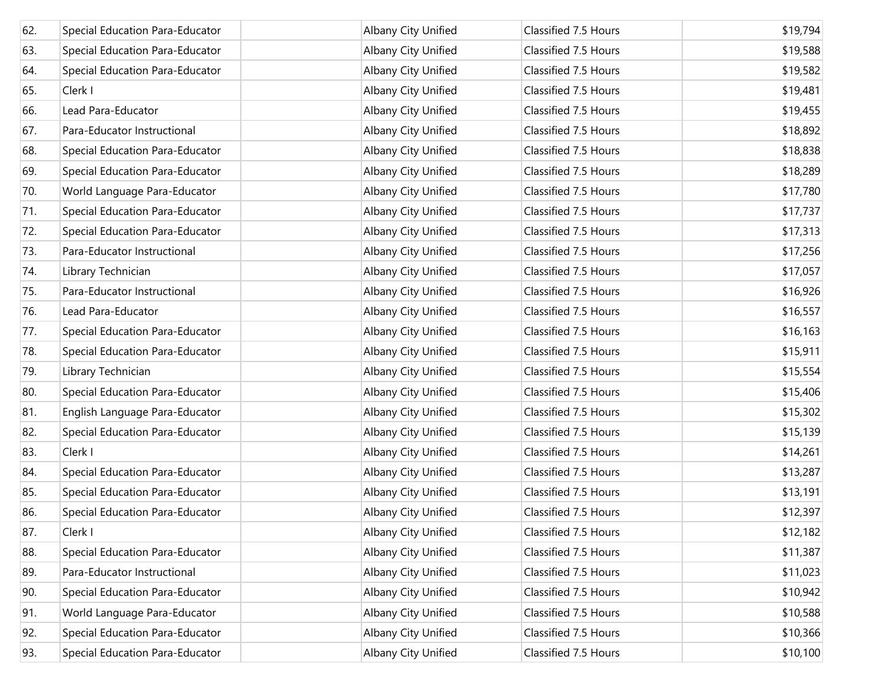| 62. | Special Education Para-Educator | Albany City Unified | Classified 7.5 Hours | \$19,794 |
|-----|---------------------------------|---------------------|----------------------|----------|
| 63. | Special Education Para-Educator | Albany City Unified | Classified 7.5 Hours | \$19,588 |
| 64. | Special Education Para-Educator | Albany City Unified | Classified 7.5 Hours | \$19,582 |
| 65. | Clerk I                         | Albany City Unified | Classified 7.5 Hours | \$19,481 |
| 66. | Lead Para-Educator              | Albany City Unified | Classified 7.5 Hours | \$19,455 |
| 67. | Para-Educator Instructional     | Albany City Unified | Classified 7.5 Hours | \$18,892 |
| 68. | Special Education Para-Educator | Albany City Unified | Classified 7.5 Hours | \$18,838 |
| 69. | Special Education Para-Educator | Albany City Unified | Classified 7.5 Hours | \$18,289 |
| 70. | World Language Para-Educator    | Albany City Unified | Classified 7.5 Hours | \$17,780 |
| 71. | Special Education Para-Educator | Albany City Unified | Classified 7.5 Hours | \$17,737 |
| 72. | Special Education Para-Educator | Albany City Unified | Classified 7.5 Hours | \$17,313 |
| 73. | Para-Educator Instructional     | Albany City Unified | Classified 7.5 Hours | \$17,256 |
| 74. | Library Technician              | Albany City Unified | Classified 7.5 Hours | \$17,057 |
| 75. | Para-Educator Instructional     | Albany City Unified | Classified 7.5 Hours | \$16,926 |
| 76. | Lead Para-Educator              | Albany City Unified | Classified 7.5 Hours | \$16,557 |
| 77. | Special Education Para-Educator | Albany City Unified | Classified 7.5 Hours | \$16,163 |
| 78. | Special Education Para-Educator | Albany City Unified | Classified 7.5 Hours | \$15,911 |
| 79. | Library Technician              | Albany City Unified | Classified 7.5 Hours | \$15,554 |
| 80. | Special Education Para-Educator | Albany City Unified | Classified 7.5 Hours | \$15,406 |
| 81. | English Language Para-Educator  | Albany City Unified | Classified 7.5 Hours | \$15,302 |
| 82. | Special Education Para-Educator | Albany City Unified | Classified 7.5 Hours | \$15,139 |
| 83. | Clerk I                         | Albany City Unified | Classified 7.5 Hours | \$14,261 |
| 84. | Special Education Para-Educator | Albany City Unified | Classified 7.5 Hours | \$13,287 |
| 85. | Special Education Para-Educator | Albany City Unified | Classified 7.5 Hours | \$13,191 |
| 86. | Special Education Para-Educator | Albany City Unified | Classified 7.5 Hours | \$12,397 |
| 87. | Clerk I                         | Albany City Unified | Classified 7.5 Hours | \$12,182 |
| 88. | Special Education Para-Educator | Albany City Unified | Classified 7.5 Hours | \$11,387 |
| 89. | Para-Educator Instructional     | Albany City Unified | Classified 7.5 Hours | \$11,023 |
| 90. | Special Education Para-Educator | Albany City Unified | Classified 7.5 Hours | \$10,942 |
| 91. | World Language Para-Educator    | Albany City Unified | Classified 7.5 Hours | \$10,588 |
| 92. | Special Education Para-Educator | Albany City Unified | Classified 7.5 Hours | \$10,366 |
| 93. | Special Education Para-Educator | Albany City Unified | Classified 7.5 Hours | \$10,100 |